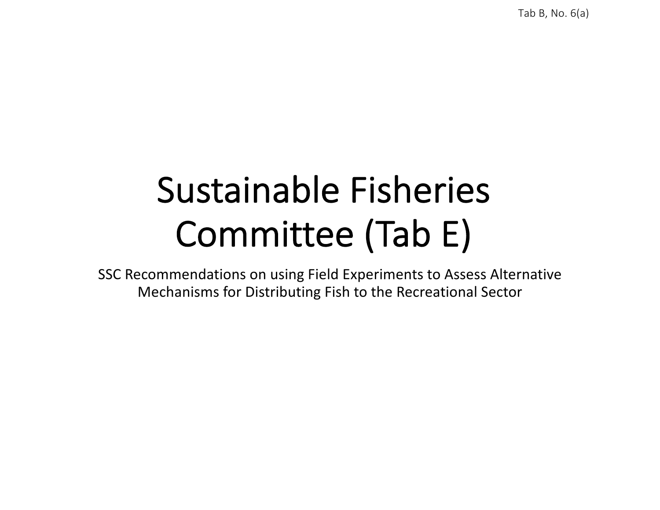Tab B, No. 6(a)

## Sustainable Fisheries Committee (Tab E)

SSC Recommendations on using Field Experiments to Assess Alternative Mechanisms for Distributing Fish to the Recreational Sector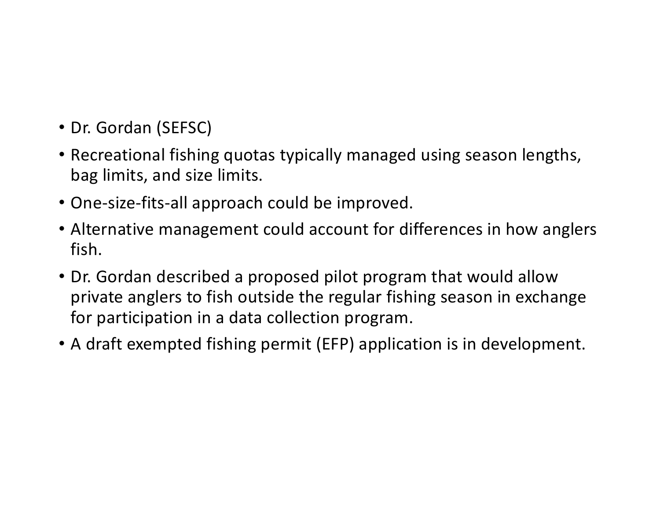- Dr. Gordan (SEFSC)
- Recreational fishing quotas typically managed using season lengths, bag limits, and size limits.
- One-size-fits-all approach could be improved.
- Alternative management could account for differences in how anglers fish.
- Dr. Gordan described a proposed pilot program that would allow private anglers to fish outside the regular fishing season in exchange for participation in a data collection program.
- A draft exempted fishing permit (EFP) application is in development.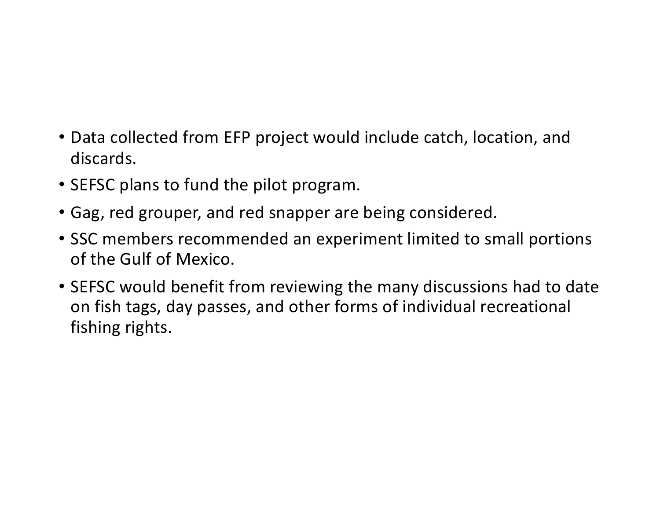- Data collected from EFP project would include catch, location, and discards.
- SEFSC plans to fund the pilot program.
- Gag, red grouper, and red snapper are being considered.
- SSC members recommended an experiment limited to small portions of the Gulf of Mexico.
- SEFSC would benefit from reviewing the many discussions had to date on fish tags, day passes, and other forms of individual recreational fishing rights.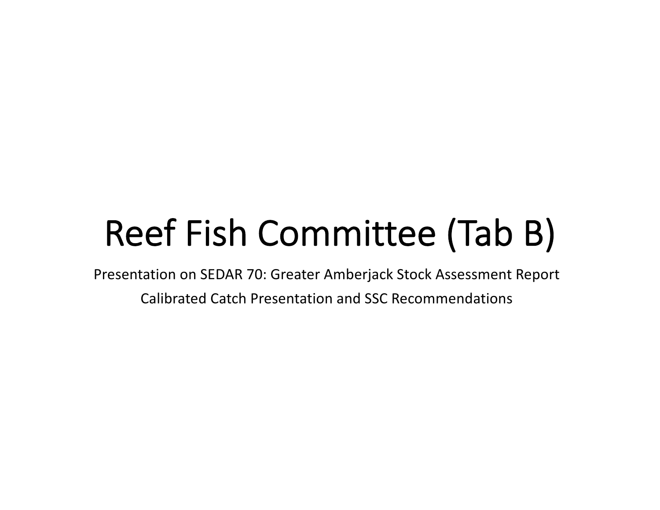# Reef Fish Committee (Tab B)

Presentation on SEDAR 70: Greater Amberjack Stock Assessment Report

Calibrated Catch Presentation and SSC Recommendations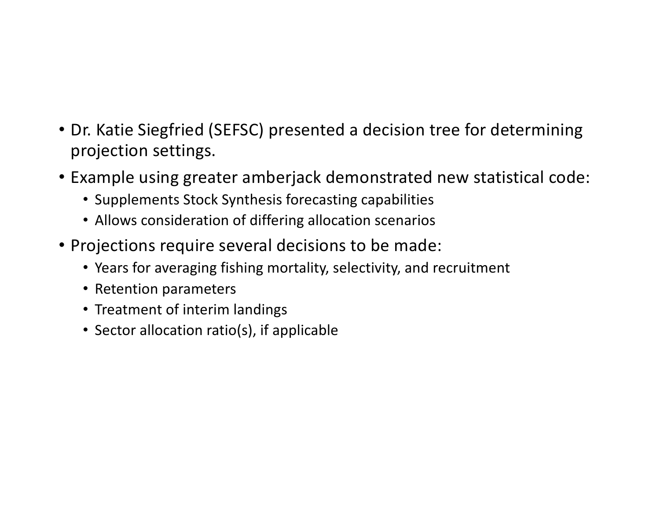- Dr. Katie Siegfried (SEFSC) presented a decision tree for determining projection settings.
- Example using greater amberjack demonstrated new statistical code:
	- Supplements Stock Synthesis forecasting capabilities
	- Allows consideration of differing allocation scenarios
- Projections require several decisions to be made:
	- Years for averaging fishing mortality, selectivity, and recruitment
	- Retention parameters
	- Treatment of interim landings
	- Sector allocation ratio(s), if applicable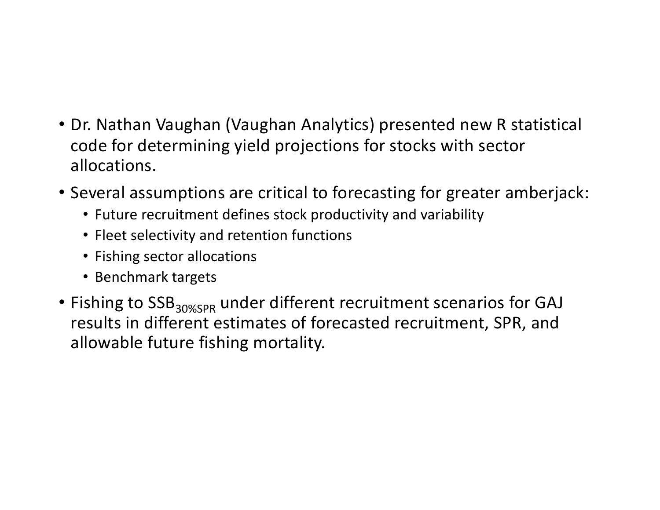- Dr. Nathan Vaughan (Vaughan Analytics) presented new R statistical code for determining yield projections for stocks with sector allocations.
- Several assumptions are critical to forecasting for greater amberjack:
	- Future recruitment defines stock productivity and variability
	- Fleet selectivity and retention functions
	- Fishing sector allocations
	- Benchmark targets
- Fishing to SSB<sub>30%SPR</sub> under different recruitment scenarios for GAJ results in different estimates of forecasted recruitment, SPR, and allowable future fishing mortality.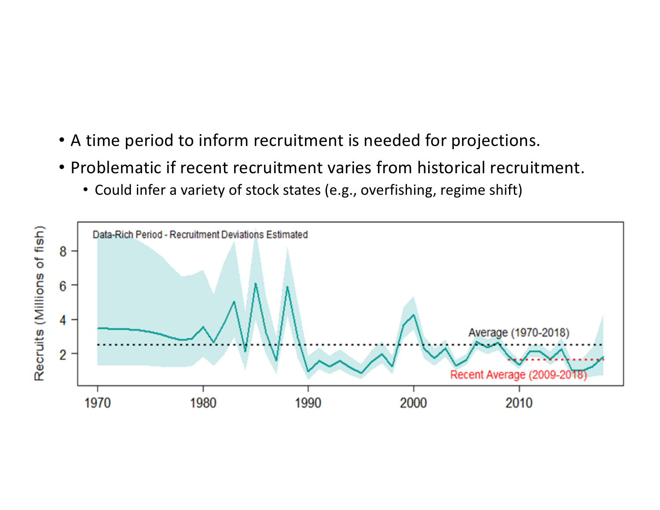- A time period to inform recruitment is needed for projections.
- Problematic if recent recruitment varies from historical recruitment.
	- Could infer a variety of stock states (e.g., overfishing, regime shift)

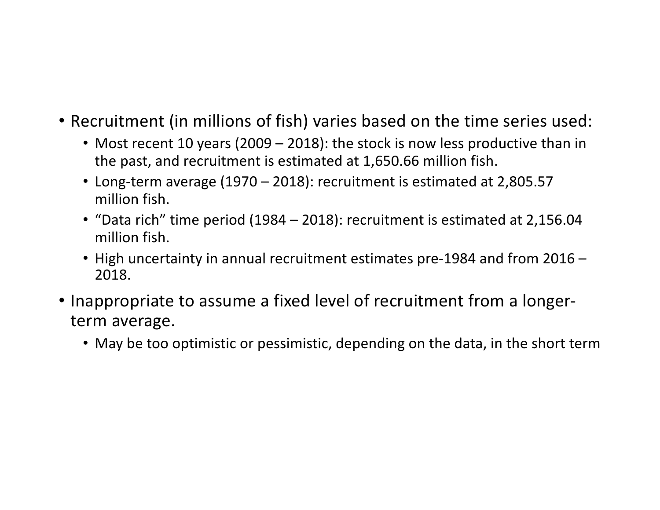- Recruitment (in millions of fish) varies based on the time series used:
	- Most recent 10 years (2009 2018): the stock is now less productive than in the past, and recruitment is estimated at 1,650.66 million fish.
	- Long-term average (1970 2018): recruitment is estimated at 2,805.57 million fish.
	- "Data rich" time period (1984 2018): recruitment is estimated at 2,156.04 million fish.
	- High uncertainty in annual recruitment estimates pre-1984 and from 2016 2018.
- Inappropriate to assume a fixed level of recruitment from a longerterm average.
	- May be too optimistic or pessimistic, depending on the data, in the short term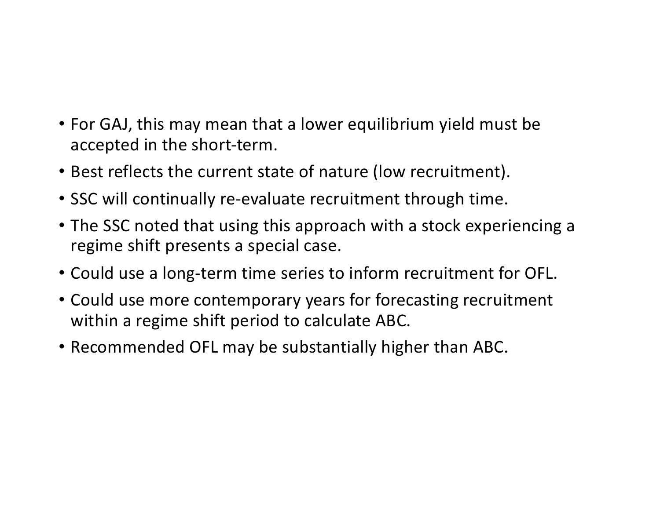- For GAJ, this may mean that a lower equilibrium yield must be accepted in the short-term.
- Best reflects the current state of nature (low recruitment).
- SSC will continually re-evaluate recruitment through time.
- The SSC noted that using this approach with a stock experiencing a regime shift presents a special case.
- Could use a long-term time series to inform recruitment for OFL.
- Could use more contemporary years for forecasting recruitment within a regime shift period to calculate ABC.
- Recommended OFL may be substantially higher than ABC.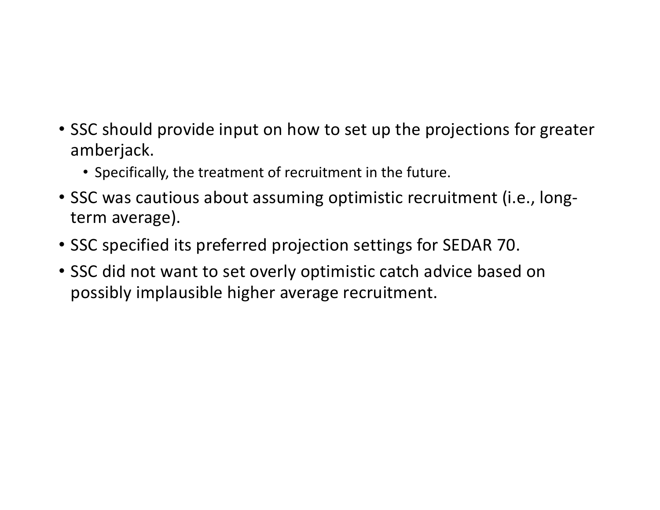- SSC should provide input on how to set up the projections for greater amberjack.
	- Specifically, the treatment of recruitment in the future.
- SSC was cautious about assuming optimistic recruitment (i.e., longterm average).
- SSC specified its preferred projection settings for SEDAR 70.
- SSC did not want to set overly optimistic catch advice based on possibly implausible higher average recruitment.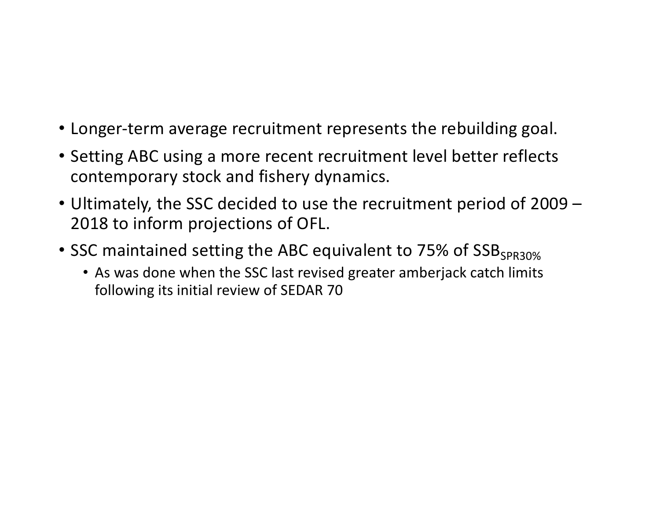- Longer-term average recruitment represents the rebuilding goal.
- Setting ABC using a more recent recruitment level better reflects contemporary stock and fishery dynamics.
- Ultimately, the SSC decided to use the recruitment period of 2009 2018 to inform projections of OFL.
- SSC maintained setting the ABC equivalent to 75% of SSB<sub>SPR30%</sub>
	- As was done when the SSC last revised greater amberjack catch limits following its initial review of SEDAR 70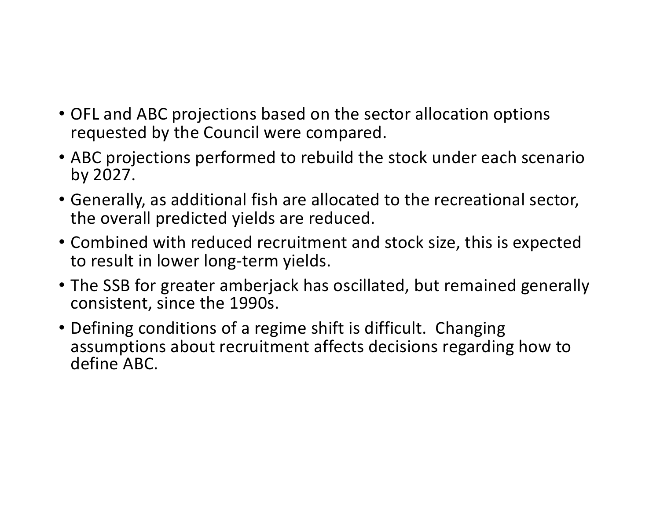- OFL and ABC projections based on the sector allocation options requested by the Council were compared.
- ABC projections performed to rebuild the stock under each scenario by 2027.
- Generally, as additional fish are allocated to the recreational sector, the overall predicted yields are reduced.
- Combined with reduced recruitment and stock size, this is expected to result in lower long-term yields.
- The SSB for greater amberjack has oscillated, but remained generally consistent, since the 1990s.
- Defining conditions of a regime shift is difficult. Changing assumptions about recruitment affects decisions regarding how to define ABC.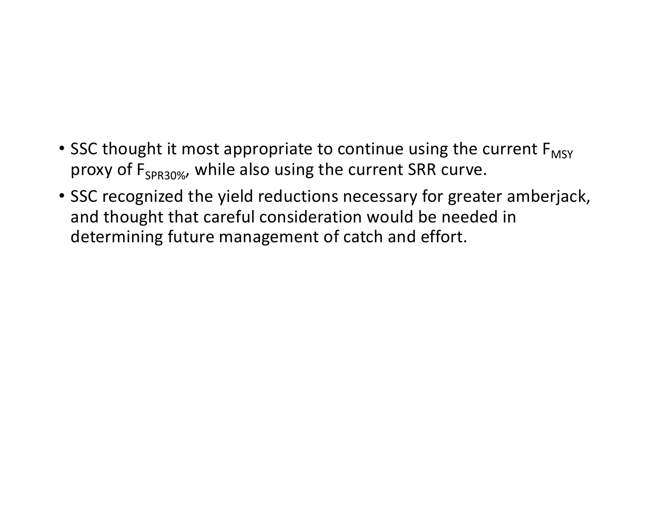#### • SSC thought it most appropriate to continue using the current  $F_{MSY}$ proxy of  $F_{SPR30\%}$ , while also using the current SRR curve.

• SSC recognized the yield reductions necessary for greater amberjack, and thought that careful consideration would be needed in determining future management of catch and effort.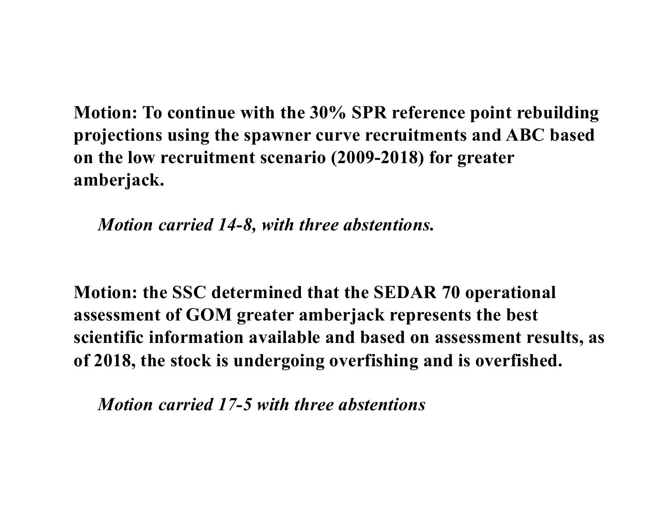**Motion: To continue with the 30% SPR reference point rebuilding projections using the spawner curve recruitments and ABC based on the low recruitment scenario (2009-2018) for greater amberjack.**

*Motion carried 14-8, with three abstentions.*

**Motion: the SSC determined that the SEDAR 70 operational assessment of GOM greater amberjack represents the best scientific information available and based on assessment results, as of 2018, the stock is undergoing overfishing and is overfished.**

*Motion carried 17-5 with three abstentions*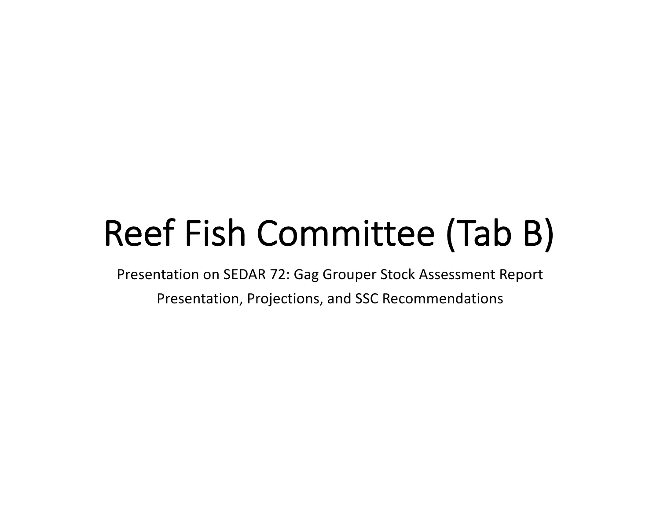# Reef Fish Committee (Tab B)

Presentation on SEDAR 72: Gag Grouper Stock Assessment Report

Presentation, Projections, and SSC Recommendations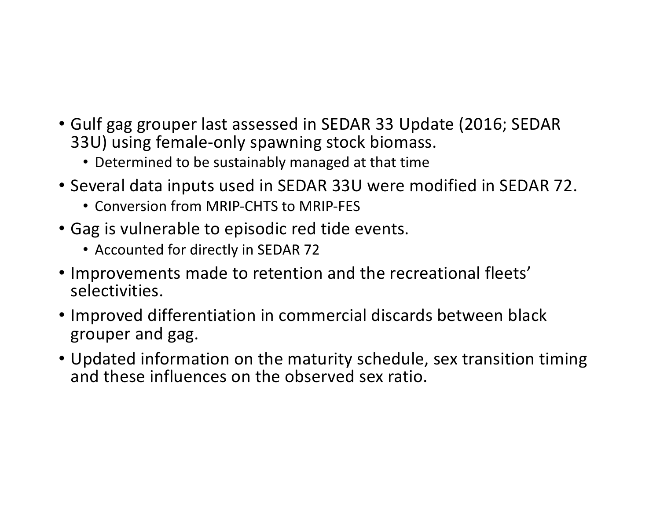- Gulf gag grouper last assessed in SEDAR 33 Update (2016; SEDAR 33U) using female-only spawning stock biomass.
	- Determined to be sustainably managed at that time
- Several data inputs used in SEDAR 33U were modified in SEDAR 72.
	- Conversion from MRIP-CHTS to MRIP-FES
- Gag is vulnerable to episodic red tide events.
	- Accounted for directly in SEDAR 72
- Improvements made to retention and the recreational fleets' selectivities.
- Improved differentiation in commercial discards between black grouper and gag.
- Updated information on the maturity schedule, sex transition timing and these influences on the observed sex ratio.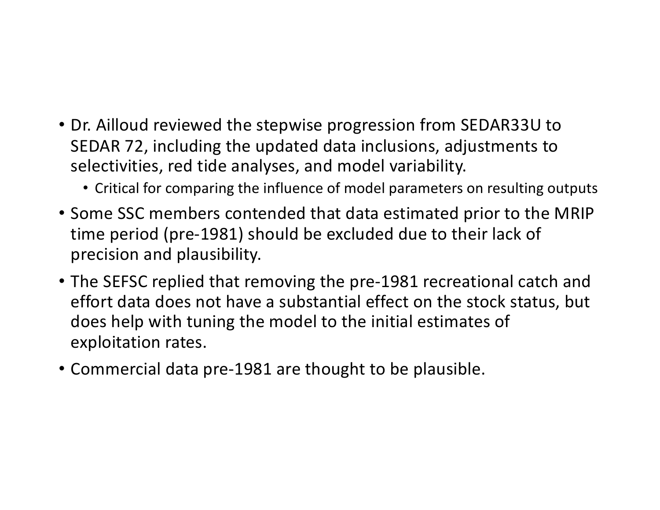- Dr. Ailloud reviewed the stepwise progression from SEDAR33U to SEDAR 72, including the updated data inclusions, adjustments to selectivities, red tide analyses, and model variability.
	- Critical for comparing the influence of model parameters on resulting outputs
- Some SSC members contended that data estimated prior to the MRIP time period (pre-1981) should be excluded due to their lack of precision and plausibility.
- The SEFSC replied that removing the pre-1981 recreational catch and effort data does not have a substantial effect on the stock status, but does help with tuning the model to the initial estimates of exploitation rates.
- Commercial data pre-1981 are thought to be plausible.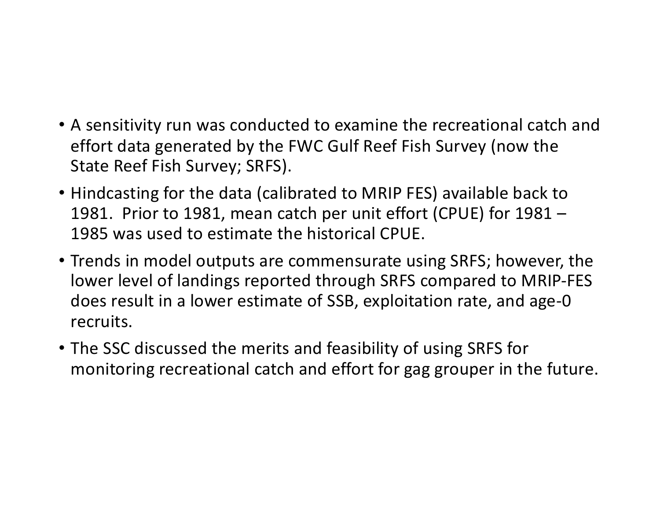- A sensitivity run was conducted to examine the recreational catch and effort data generated by the FWC Gulf Reef Fish Survey (now the State Reef Fish Survey; SRFS).
- Hindcasting for the data (calibrated to MRIP FES) available back to 1981. Prior to 1981, mean catch per unit effort (CPUE) for 1981 – 1985 was used to estimate the historical CPUE.
- Trends in model outputs are commensurate using SRFS; however, the lower level of landings reported through SRFS compared to MRIP-FES does result in a lower estimate of SSB, exploitation rate, and age-0 recruits.
- The SSC discussed the merits and feasibility of using SRFS for monitoring recreational catch and effort for gag grouper in the future.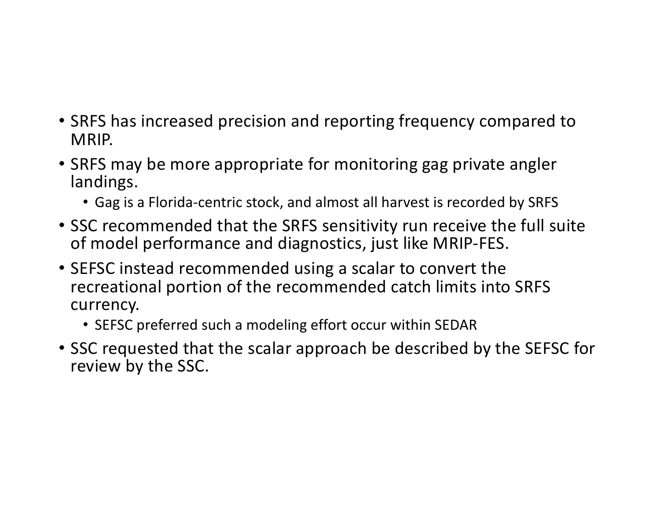- SRFS has increased precision and reporting frequency compared to MRIP.
- SRFS may be more appropriate for monitoring gag private angler landings.
	- Gag is a Florida-centric stock, and almost all harvest is recorded by SRFS
- SSC recommended that the SRFS sensitivity run receive the full suite of model performance and diagnostics, just like MRIP-FES.
- SEFSC instead recommended using a scalar to convert the recreational portion of the recommended catch limits into SRFS currency.
	- SEFSC preferred such a modeling effort occur within SEDAR
- SSC requested that the scalar approach be described by the SEFSC for review by the SSC.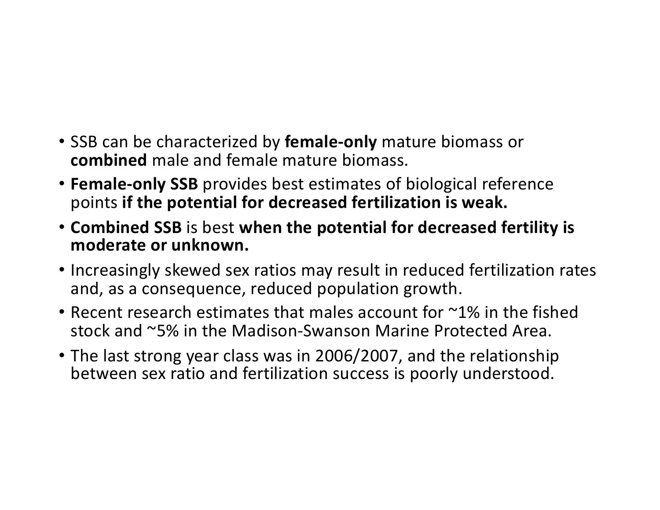- SSB can be characterized by **female-only** mature biomass or **combined** male and female mature biomass.
- **Female-only SSB** provides best estimates of biological reference points **if the potential for decreased fertilization is weak.**
- **Combined SSB** is best **when the potential for decreased fertility is moderate or unknown.**
- Increasingly skewed sex ratios may result in reduced fertilization rates and, as a consequence, reduced population growth.
- Recent research estimates that males account for ~1% in the fished stock and ~5% in the Madison-Swanson Marine Protected Area.
- The last strong year class was in 2006/2007, and the relationship between sex ratio and fertilization success is poorly understood.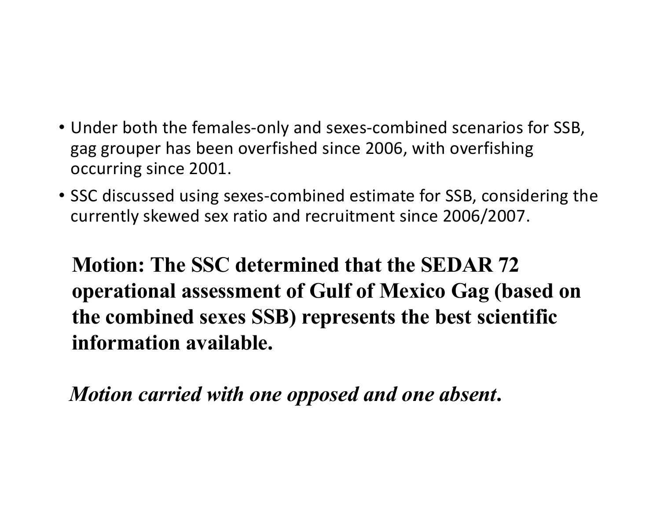- Under both the females-only and sexes-combined scenarios for SSB, gag grouper has been overfished since 2006, with overfishing occurring since 2001.
- SSC discussed using sexes-combined estimate for SSB, considering the currently skewed sex ratio and recruitment since 2006/2007.

**Motion: The SSC determined that the SEDAR 72 operational assessment of Gulf of Mexico Gag (based on the combined sexes SSB) represents the best scientific information available.**

*Motion carried with one opposed and one absent***.**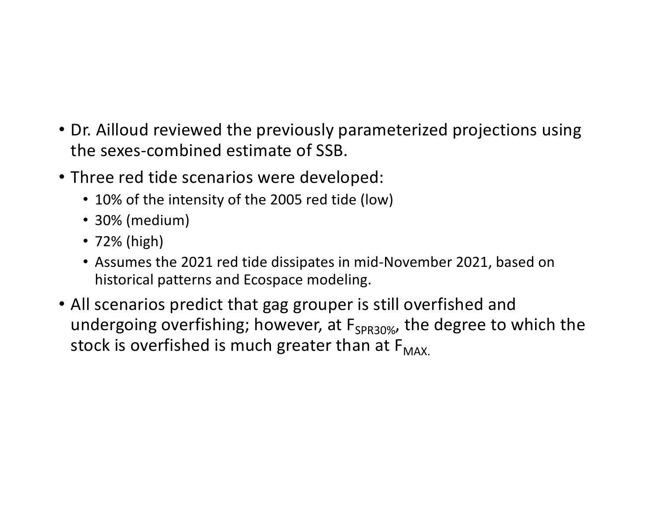- Dr. Ailloud reviewed the previously parameterized projections using the sexes-combined estimate of SSB.
- Three red tide scenarios were developed:
	- 10% of the intensity of the 2005 red tide (low)
	- 30% (medium)
	- 72% (high)
	- Assumes the 2021 red tide dissipates in mid-November 2021, based on historical patterns and Ecospace modeling.
- All scenarios predict that gag grouper is still overfished and undergoing overfishing; however, at  $F_{SPR30\%}$ , the degree to which the stock is overfished is much greater than at  $F_{MAX}$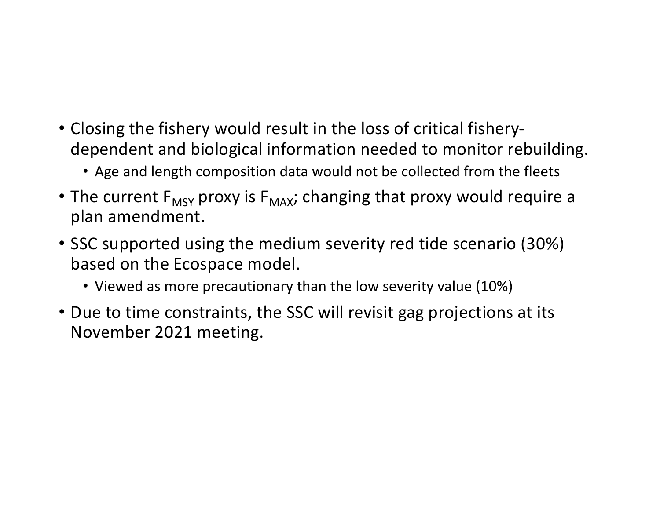- Closing the fishery would result in the loss of critical fisherydependent and biological information needed to monitor rebuilding.
	- Age and length composition data would not be collected from the fleets
- The current  $F_{MSY}$  proxy is  $F_{MAX}$ ; changing that proxy would require a plan amendment.
- SSC supported using the medium severity red tide scenario (30%) based on the Ecospace model.
	- Viewed as more precautionary than the low severity value (10%)
- Due to time constraints, the SSC will revisit gag projections at its November 2021 meeting.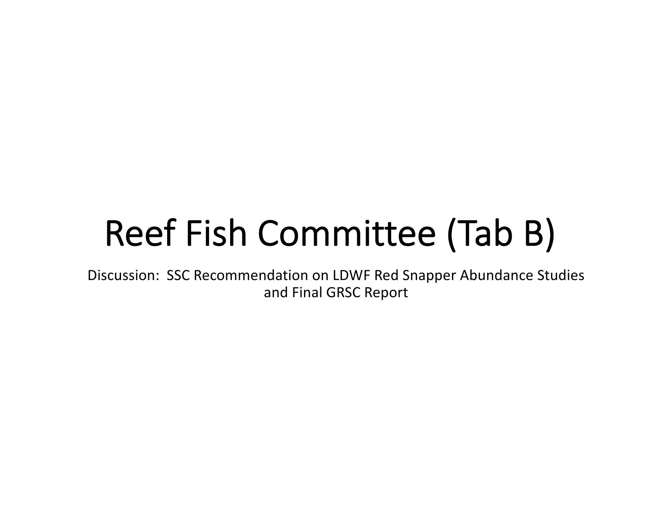## Reef Fish Committee (Tab B)

Discussion: SSC Recommendation on LDWF Red Snapper Abundance Studies and Final GRSC Report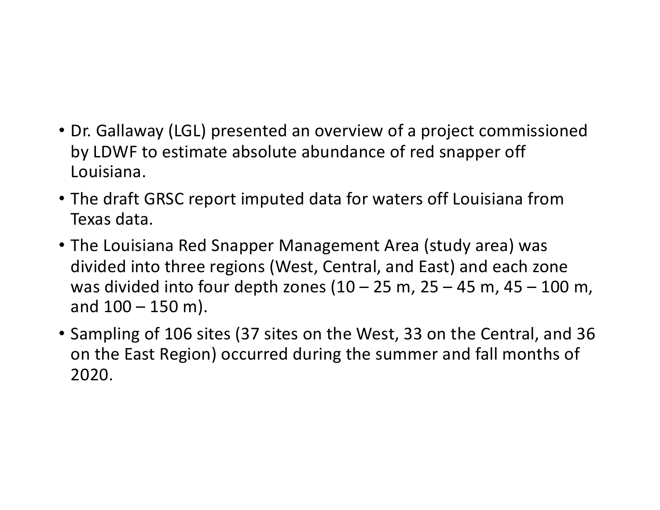- Dr. Gallaway (LGL) presented an overview of a project commissioned by LDWF to estimate absolute abundance of red snapper off Louisiana.
- The draft GRSC report imputed data for waters off Louisiana from Texas data.
- The Louisiana Red Snapper Management Area (study area) was divided into three regions (West, Central, and East) and each zone was divided into four depth zones  $(10 - 25 \text{ m}, 25 - 45 \text{ m}, 45 - 100 \text{ m})$ and  $100 - 150$  m).
- Sampling of 106 sites (37 sites on the West, 33 on the Central, and 36 on the East Region) occurred during the summer and fall months of 2020.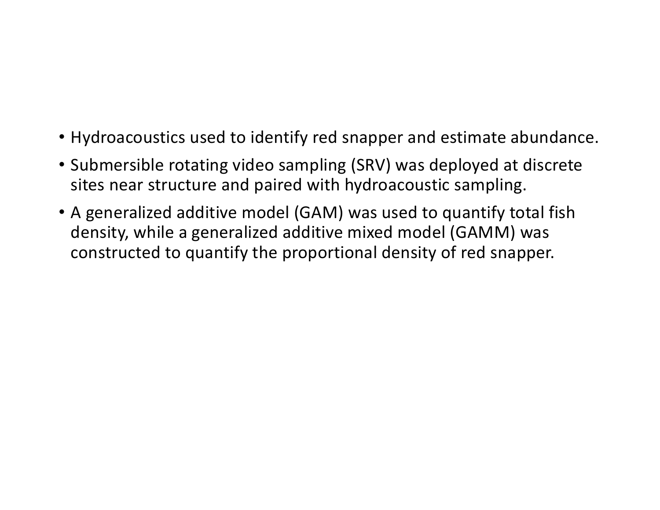- Hydroacoustics used to identify red snapper and estimate abundance.
- Submersible rotating video sampling (SRV) was deployed at discrete sites near structure and paired with hydroacoustic sampling.
- A generalized additive model (GAM) was used to quantify total fish density, while a generalized additive mixed model (GAMM) was constructed to quantify the proportional density of red snapper.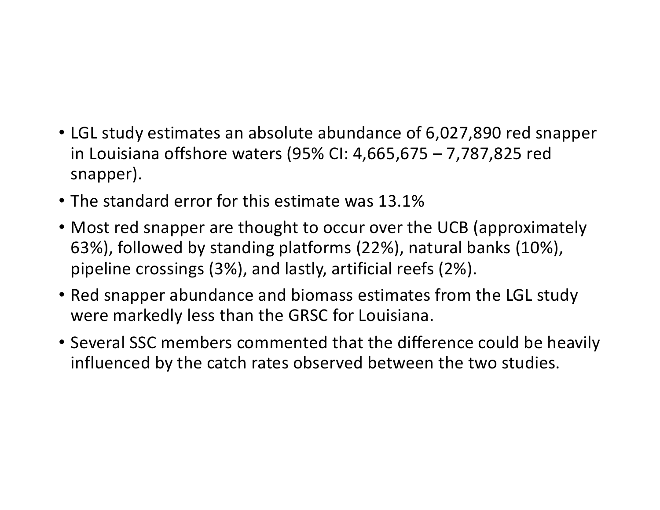- LGL study estimates an absolute abundance of 6,027,890 red snapper in Louisiana offshore waters (95% CI: 4,665,675 – 7,787,825 red snapper).
- The standard error for this estimate was 13.1%
- Most red snapper are thought to occur over the UCB (approximately 63%), followed by standing platforms (22%), natural banks (10%), pipeline crossings (3%), and lastly, artificial reefs (2%).
- Red snapper abundance and biomass estimates from the LGL study were markedly less than the GRSC for Louisiana.
- Several SSC members commented that the difference could be heavily influenced by the catch rates observed between the two studies.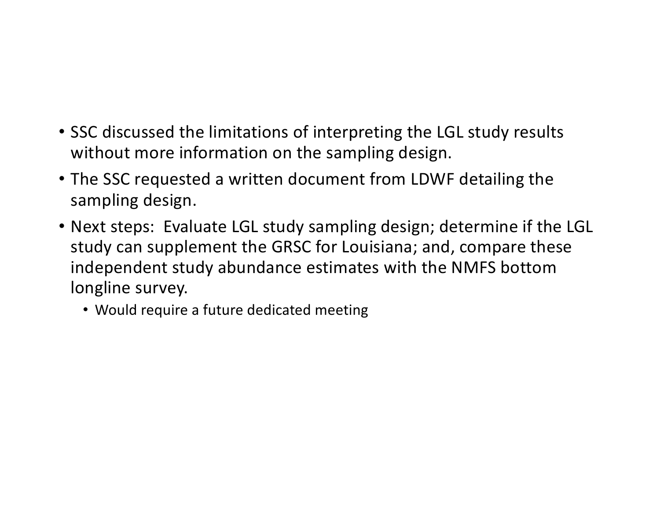- SSC discussed the limitations of interpreting the LGL study results without more information on the sampling design.
- The SSC requested a written document from LDWF detailing the sampling design.
- Next steps: Evaluate LGL study sampling design; determine if the LGL study can supplement the GRSC for Louisiana; and, compare these independent study abundance estimates with the NMFS bottom longline survey.
	- Would require a future dedicated meeting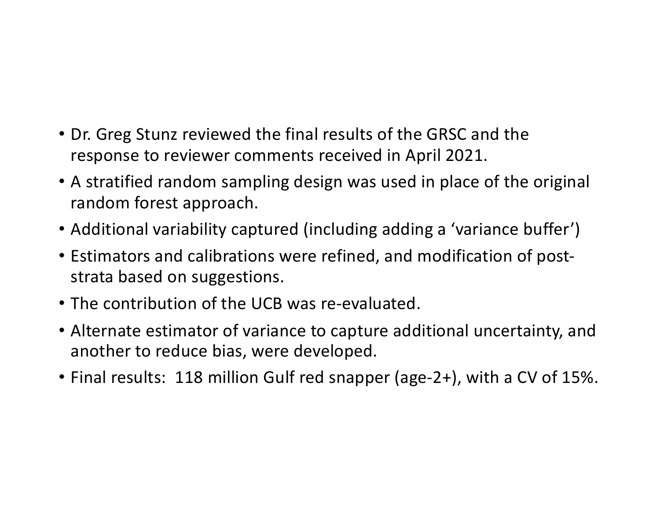- Dr. Greg Stunz reviewed the final results of the GRSC and the response to reviewer comments received in April 2021.
- A stratified random sampling design was used in place of the original random forest approach.
- Additional variability captured (including adding a 'variance buffer')
- Estimators and calibrations were refined, and modification of poststrata based on suggestions.
- The contribution of the UCB was re-evaluated.
- Alternate estimator of variance to capture additional uncertainty, and another to reduce bias, were developed.
- Final results: 118 million Gulf red snapper (age-2+), with a CV of 15%.